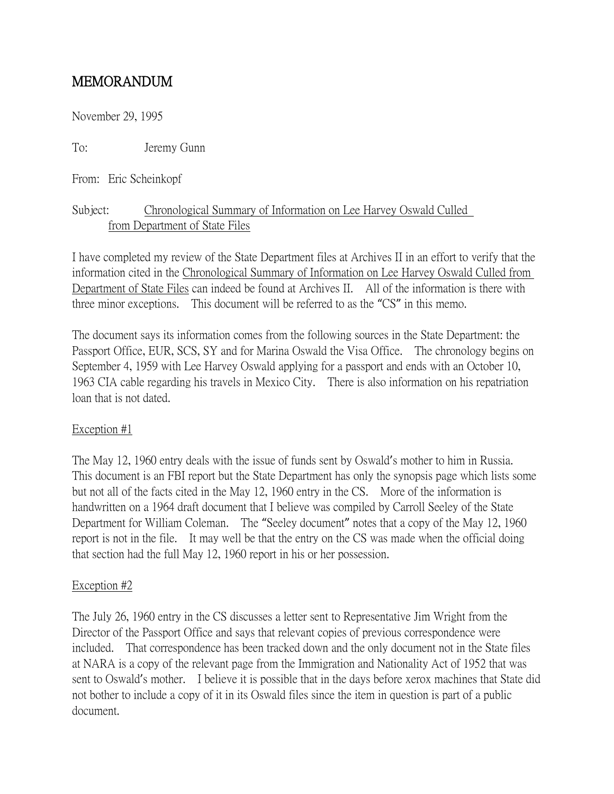# MEMORANDUM

November 29, 1995

To: Jeremy Gunn

From: Eric Scheinkopf

# Subject: Chronological Summary of Information on Lee Harvey Oswald Culled from Department of State Files

I have completed my review of the State Department files at Archives II in an effort to verify that the information cited in the Chronological Summary of Information on Lee Harvey Oswald Culled from Department of State Files can indeed be found at Archives II. All of the information is there with three minor exceptions. This document will be referred to as the "CS" in this memo.

The document says its information comes from the following sources in the State Department: the Passport Office, EUR, SCS, SY and for Marina Oswald the Visa Office. The chronology begins on September 4, 1959 with Lee Harvey Oswald applying for a passport and ends with an October 10, 1963 CIA cable regarding his travels in Mexico City. There is also information on his repatriation loan that is not dated.

### Exception #1

The May 12, 1960 entry deals with the issue of funds sent by Oswald's mother to him in Russia. This document is an FBI report but the State Department has only the synopsis page which lists some but not all of the facts cited in the May 12, 1960 entry in the CS. More of the information is handwritten on a 1964 draft document that I believe was compiled by Carroll Seeley of the State Department for William Coleman. The "Seeley document" notes that a copy of the May 12, 1960 report is not in the file. It may well be that the entry on the CS was made when the official doing that section had the full May 12, 1960 report in his or her possession.

#### Exception #2

The July 26, 1960 entry in the CS discusses a letter sent to Representative Jim Wright from the Director of the Passport Office and says that relevant copies of previous correspondence were included. That correspondence has been tracked down and the only document not in the State files at NARA is a copy of the relevant page from the Immigration and Nationality Act of 1952 that was sent to Oswald's mother. I believe it is possible that in the days before xerox machines that State did not bother to include a copy of it in its Oswald files since the item in question is part of a public document.